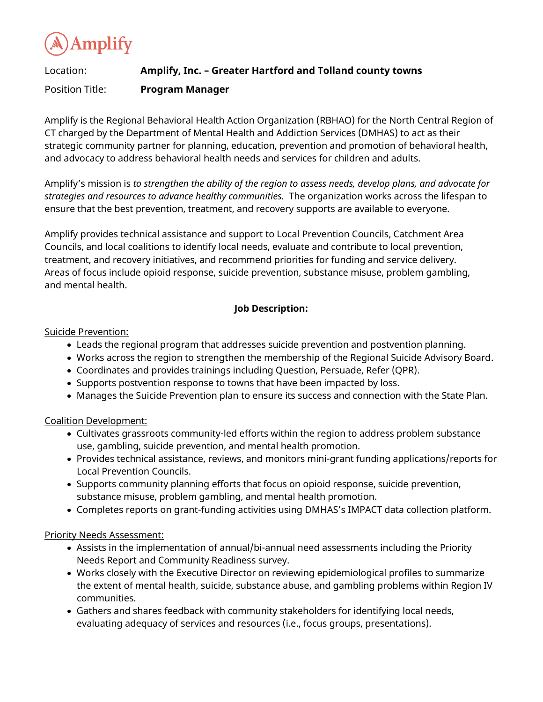**Amplify** 

# Location: **Amplify, Inc. – Greater Hartford and Tolland county towns** Position Title: **Program Manager**

Amplify is the Regional Behavioral Health Action Organization (RBHAO) for the North Central Region of CT charged by the Department of Mental Health and Addiction Services (DMHAS) to act as their strategic community partner for planning, education, prevention and promotion of behavioral health, and advocacy to address behavioral health needs and services for children and adults.

Amplify's mission is *to strengthen the ability of the region to assess needs, develop plans, and advocate for strategies and resources to advance healthy communities.* The organization works across the lifespan to ensure that the best prevention, treatment, and recovery supports are available to everyone.

Amplify provides technical assistance and support to Local Prevention Councils, Catchment Area Councils, and local coalitions to identify local needs, evaluate and contribute to local prevention, treatment, and recovery initiatives, and recommend priorities for funding and service delivery. Areas of focus include opioid response, suicide prevention, substance misuse, problem gambling, and mental health.

## **Job Description:**

Suicide Prevention:

- Leads the regional program that addresses suicide prevention and postvention planning.
- Works across the region to strengthen the membership of the Regional Suicide Advisory Board.
- Coordinates and provides trainings including Question, Persuade, Refer (QPR).
- Supports postvention response to towns that have been impacted by loss.
- Manages the Suicide Prevention plan to ensure its success and connection with the State Plan.

### Coalition Development:

- Cultivates grassroots community-led efforts within the region to address problem substance use, gambling, suicide prevention, and mental health promotion.
- Provides technical assistance, reviews, and monitors mini-grant funding applications/reports for Local Prevention Councils.
- Supports community planning efforts that focus on opioid response, suicide prevention, substance misuse, problem gambling, and mental health promotion.
- Completes reports on grant-funding activities using DMHAS's IMPACT data collection platform.

### Priority Needs Assessment:

- Assists in the implementation of annual/bi-annual need assessments including the Priority Needs Report and Community Readiness survey.
- Works closely with the Executive Director on reviewing epidemiological profiles to summarize the extent of mental health, suicide, substance abuse, and gambling problems within Region IV communities.
- Gathers and shares feedback with community stakeholders for identifying local needs, evaluating adequacy of services and resources (i.e., focus groups, presentations).